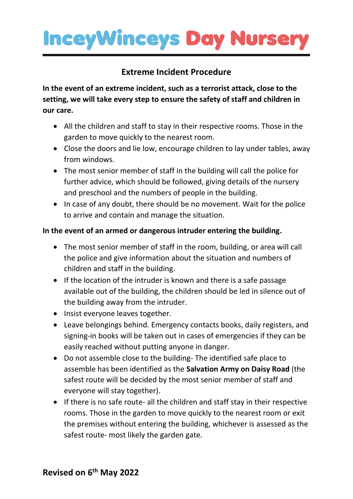## **InceyWinceys Day Nursery**

### **Extreme Incident Procedure**

**In the event of an extreme incident, such as a terrorist attack, close to the setting, we will take every step to ensure the safety of staff and children in our care.**

- All the children and staff to stay in their respective rooms. Those in the garden to move quickly to the nearest room.
- Close the doors and lie low, encourage children to lay under tables, away from windows.
- The most senior member of staff in the building will call the police for further advice, which should be followed, giving details of the nursery and preschool and the numbers of people in the building.
- In case of any doubt, there should be no movement. Wait for the police to arrive and contain and manage the situation.

### **In the event of an armed or dangerous intruder entering the building.**

- The most senior member of staff in the room, building, or area will call the police and give information about the situation and numbers of children and staff in the building.
- If the location of the intruder is known and there is a safe passage available out of the building, the children should be led in silence out of the building away from the intruder.
- Insist everyone leaves together.
- Leave belongings behind. Emergency contacts books, daily registers, and signing-in books will be taken out in cases of emergencies if they can be easily reached without putting anyone in danger.
- Do not assemble close to the building- The identified safe place to assemble has been identified as the **Salvation Army on Daisy Road** (the safest route will be decided by the most senior member of staff and everyone will stay together).
- If there is no safe route- all the children and staff stay in their respective rooms. Those in the garden to move quickly to the nearest room or exit the premises without entering the building, whichever is assessed as the safest route- most likely the garden gate.